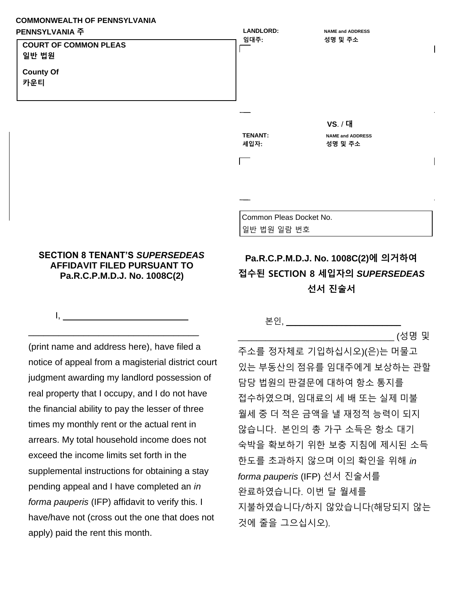## **COMMONWEALTH OF PENNSYLVANIA**



## **AFFIDAVIT FILED PURSUANT TO Pa.R.C.P.M.D.J. No. 1008C(2)**

\_\_\_\_\_\_\_\_\_\_\_\_\_\_\_\_\_\_\_\_\_\_\_\_\_\_\_\_\_\_\_\_\_\_

 $1, \underline{\hspace{1cm}}$ 

**SECTION 8 TENANT'S** *SUPERSEDEAS* 

(print name and address here), have filed a notice of appeal from a magisterial district court judgment awarding my landlord possession of real property that I occupy, and I do not have the financial ability to pay the lesser of three times my monthly rent or the actual rent in arrears. My total household income does not exceed the income limits set forth in the supplemental instructions for obtaining a stay pending appeal and I have completed an *in forma pauperis* (IFP) affidavit to verify this. I have/have not (cross out the one that does not apply) paid the rent this month.

## 본인, \_\_\_\_\_\_\_\_\_\_\_\_\_\_\_\_\_\_\_\_\_\_\_\_\_

\_\_\_\_\_\_\_\_\_\_\_\_\_\_\_\_\_\_\_\_\_\_\_\_\_\_\_\_\_\_\_\_\_\_ (성명 및

주소를 정자체로 기입하십시오)(은)는 머물고 있는 부동산의 점유를 임대주에게 보상하는 관할 담당 법원의 판결문에 대하여 항소 통지를 접수하였으며, 임대료의 세 배 또는 실제 미불 월세 중 더 적은 금액을 낼 재정적 능력이 되지 않습니다. 본인의 총 가구 소득은 항소 대기 숙박을 확보하기 위한 보충 지침에 제시된 소득 한도를 초과하지 않으며 이의 확인을 위해 *in forma pauperis* (IFP) 선서 진술서를 완료하였습니다. 이번 달 월세를 지불하였습니다/하지 않았습니다(해당되지 않는 것에 줄을 그으십시오).

**Pa.R.C.P.M.D.J. No. 1008C(2)에 의거하여 접수된 SECTION 8 세입자의** *SUPERSEDEAS*

**선서 진술서**